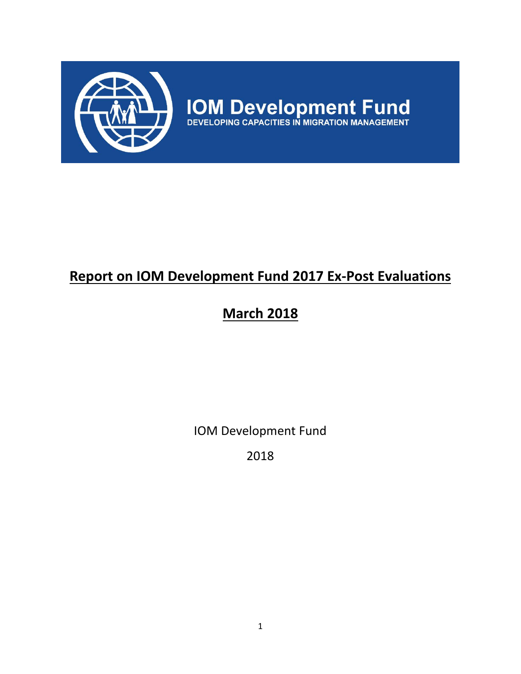

# **Report on IOM Development Fund 2017 Ex-Post Evaluations**

# **March 2018**

IOM Development Fund

2018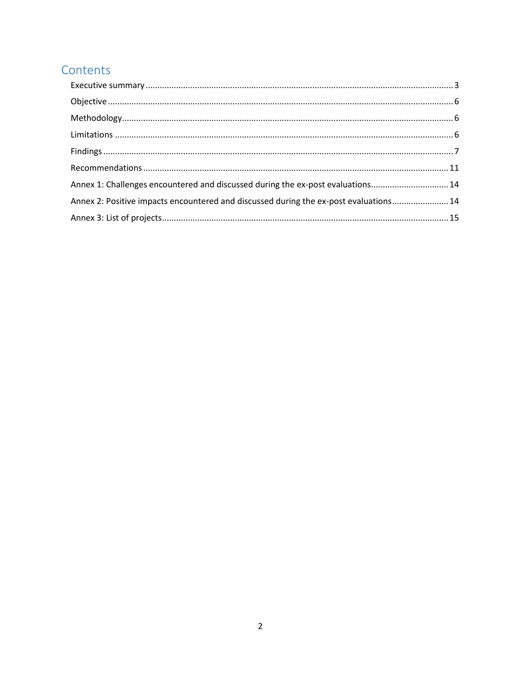## Contents

| Annex 1: Challenges encountered and discussed during the ex-post evaluations 14       |  |
|---------------------------------------------------------------------------------------|--|
| Annex 2: Positive impacts encountered and discussed during the ex-post evaluations 14 |  |
|                                                                                       |  |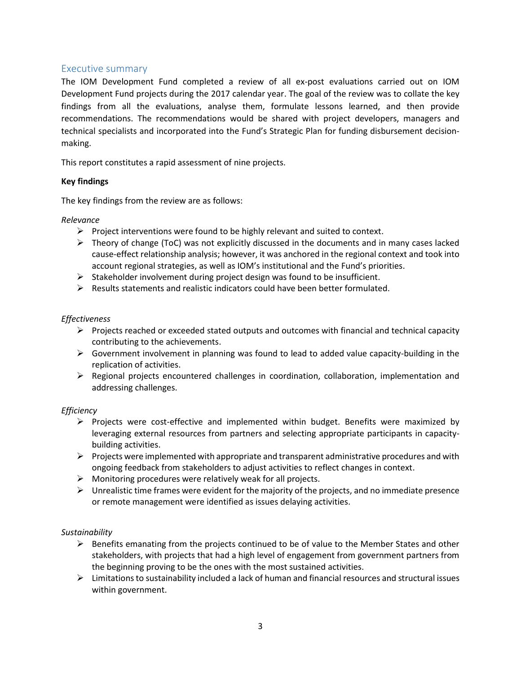## <span id="page-2-0"></span>Executive summary

The IOM Development Fund completed a review of all ex-post evaluations carried out on IOM Development Fund projects during the 2017 calendar year. The goal of the review was to collate the key findings from all the evaluations, analyse them, formulate lessons learned, and then provide recommendations. The recommendations would be shared with project developers, managers and technical specialists and incorporated into the Fund's Strategic Plan for funding disbursement decisionmaking.

This report constitutes a rapid assessment of nine projects.

## **Key findings**

The key findings from the review are as follows:

## *Relevance*

- $\triangleright$  Project interventions were found to be highly relevant and suited to context.
- $\triangleright$  Theory of change (ToC) was not explicitly discussed in the documents and in many cases lacked cause-effect relationship analysis; however, it was anchored in the regional context and took into account regional strategies, as well as IOM's institutional and the Fund's priorities.
- $\triangleright$  Stakeholder involvement during project design was found to be insufficient.
- $\triangleright$  Results statements and realistic indicators could have been better formulated.

## *Effectiveness*

- $\triangleright$  Projects reached or exceeded stated outputs and outcomes with financial and technical capacity contributing to the achievements.
- ➢ Government involvement in planning was found to lead to added value capacity-building in the replication of activities.
- $\triangleright$  Regional projects encountered challenges in coordination, collaboration, implementation and addressing challenges.

#### *Efficiency*

- ➢ Projects were cost-effective and implemented within budget. Benefits were maximized by leveraging external resources from partners and selecting appropriate participants in capacitybuilding activities.
- $\triangleright$  Projects were implemented with appropriate and transparent administrative procedures and with ongoing feedback from stakeholders to adjust activities to reflect changes in context.
- $\triangleright$  Monitoring procedures were relatively weak for all projects.
- $\triangleright$  Unrealistic time frames were evident for the majority of the projects, and no immediate presence or remote management were identified as issues delaying activities.

#### *Sustainability*

- $\triangleright$  Benefits emanating from the projects continued to be of value to the Member States and other stakeholders, with projects that had a high level of engagement from government partners from the beginning proving to be the ones with the most sustained activities.
- $\triangleright$  Limitations to sustainability included a lack of human and financial resources and structural issues within government.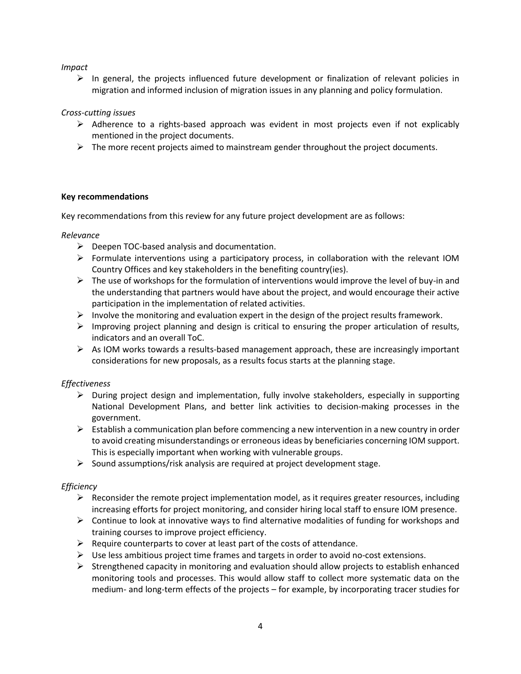*Impact*

 $\triangleright$  In general, the projects influenced future development or finalization of relevant policies in migration and informed inclusion of migration issues in any planning and policy formulation.

*Cross-cutting issues*

- $\triangleright$  Adherence to a rights-based approach was evident in most projects even if not explicably mentioned in the project documents.
- $\triangleright$  The more recent projects aimed to mainstream gender throughout the project documents.

#### **Key recommendations**

Key recommendations from this review for any future project development are as follows:

#### *Relevance*

- $\triangleright$  Deepen TOC-based analysis and documentation.
- $\triangleright$  Formulate interventions using a participatory process, in collaboration with the relevant IOM Country Offices and key stakeholders in the benefiting country(ies).
- $\triangleright$  The use of workshops for the formulation of interventions would improve the level of buy-in and the understanding that partners would have about the project, and would encourage their active participation in the implementation of related activities.
- $\triangleright$  Involve the monitoring and evaluation expert in the design of the project results framework.
- $\triangleright$  Improving project planning and design is critical to ensuring the proper articulation of results, indicators and an overall ToC.
- ➢ As IOM works towards a results-based management approach, these are increasingly important considerations for new proposals, as a results focus starts at the planning stage.

## *Effectiveness*

- $\triangleright$  During project design and implementation, fully involve stakeholders, especially in supporting National Development Plans, and better link activities to decision-making processes in the government.
- $\triangleright$  Establish a communication plan before commencing a new intervention in a new country in order to avoid creating misunderstandings or erroneous ideas by beneficiaries concerning IOM support. This is especially important when working with vulnerable groups.
- ➢ Sound assumptions/risk analysis are required at project development stage.

## *Efficiency*

- $\triangleright$  Reconsider the remote project implementation model, as it requires greater resources, including increasing efforts for project monitoring, and consider hiring local staff to ensure IOM presence.
- $\triangleright$  Continue to look at innovative ways to find alternative modalities of funding for workshops and training courses to improve project efficiency.
- $\triangleright$  Require counterparts to cover at least part of the costs of attendance.
- $\triangleright$  Use less ambitious project time frames and targets in order to avoid no-cost extensions.
- $\triangleright$  Strengthened capacity in monitoring and evaluation should allow projects to establish enhanced monitoring tools and processes. This would allow staff to collect more systematic data on the medium- and long-term effects of the projects – for example, by incorporating tracer studies for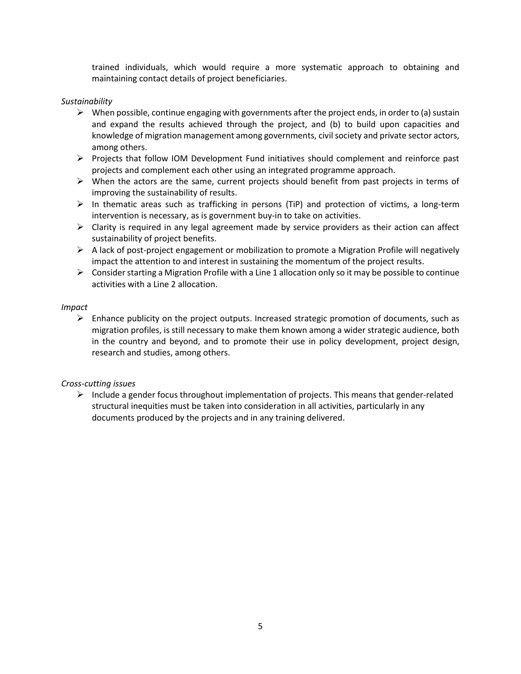trained individuals, which would require a more systematic approach to obtaining and maintaining contact details of project beneficiaries.

#### *Sustainability*

- $\triangleright$  When possible, continue engaging with governments after the project ends, in order to (a) sustain and expand the results achieved through the project, and (b) to build upon capacities and knowledge of migration management among governments, civil society and private sector actors, among others.
- ➢ Projects that follow IOM Development Fund initiatives should complement and reinforce past projects and complement each other using an integrated programme approach.
- $\triangleright$  When the actors are the same, current projects should benefit from past projects in terms of improving the sustainability of results.
- $\triangleright$  In thematic areas such as trafficking in persons (TiP) and protection of victims, a long-term intervention is necessary, as is government buy-in to take on activities.
- $\triangleright$  Clarity is required in any legal agreement made by service providers as their action can affect sustainability of project benefits.
- ➢ A lack of post-project engagement or mobilization to promote a Migration Profile will negatively impact the attention to and interest in sustaining the momentum of the project results.
- $\triangleright$  Consider starting a Migration Profile with a Line 1 allocation only so it may be possible to continue activities with a Line 2 allocation.

#### *Impact*

 $\triangleright$  Enhance publicity on the project outputs. Increased strategic promotion of documents, such as migration profiles, is still necessary to make them known among a wider strategic audience, both in the country and beyond, and to promote their use in policy development, project design, research and studies, among others.

#### *Cross-cutting issues*

 $\triangleright$  Include a gender focus throughout implementation of projects. This means that gender-related structural inequities must be taken into consideration in all activities, particularly in any documents produced by the projects and in any training delivered.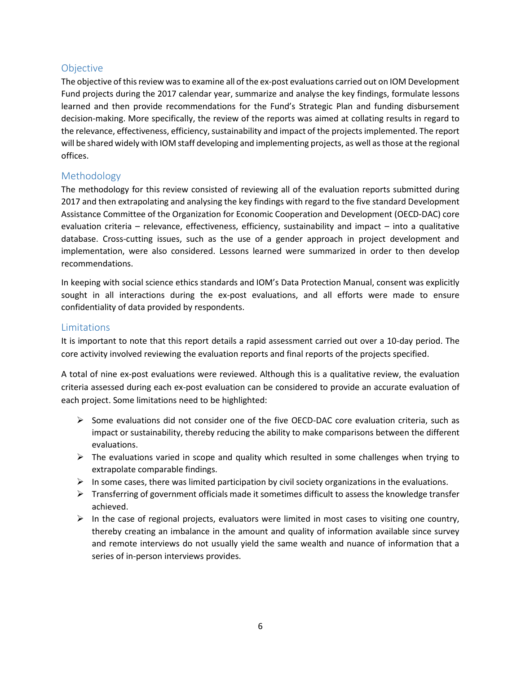## <span id="page-5-0"></span>**Objective**

The objective of this review was to examine all of the ex-post evaluations carried out on IOM Development Fund projects during the 2017 calendar year, summarize and analyse the key findings, formulate lessons learned and then provide recommendations for the Fund's Strategic Plan and funding disbursement decision-making. More specifically, the review of the reports was aimed at collating results in regard to the relevance, effectiveness, efficiency, sustainability and impact of the projects implemented. The report will be shared widely with IOM staff developing and implementing projects, as well as those at the regional offices.

## <span id="page-5-1"></span>Methodology

The methodology for this review consisted of reviewing all of the evaluation reports submitted during 2017 and then extrapolating and analysing the key findings with regard to the five standard Development Assistance Committee of the Organization for Economic Cooperation and Development (OECD-DAC) core evaluation criteria – relevance, effectiveness, efficiency, sustainability and impact – into a qualitative database. Cross-cutting issues, such as the use of a gender approach in project development and implementation, were also considered. Lessons learned were summarized in order to then develop recommendations.

In keeping with social science ethics standards and IOM's Data Protection Manual, consent was explicitly sought in all interactions during the ex-post evaluations, and all efforts were made to ensure confidentiality of data provided by respondents.

## <span id="page-5-2"></span>Limitations

It is important to note that this report details a rapid assessment carried out over a 10-day period. The core activity involved reviewing the evaluation reports and final reports of the projects specified.

A total of nine ex-post evaluations were reviewed. Although this is a qualitative review, the evaluation criteria assessed during each ex-post evaluation can be considered to provide an accurate evaluation of each project. Some limitations need to be highlighted:

- ➢ Some evaluations did not consider one of the five OECD-DAC core evaluation criteria, such as impact or sustainability, thereby reducing the ability to make comparisons between the different evaluations.
- $\triangleright$  The evaluations varied in scope and quality which resulted in some challenges when trying to extrapolate comparable findings.
- $\triangleright$  In some cases, there was limited participation by civil society organizations in the evaluations.
- $\triangleright$  Transferring of government officials made it sometimes difficult to assess the knowledge transfer achieved.
- $\triangleright$  In the case of regional projects, evaluators were limited in most cases to visiting one country, thereby creating an imbalance in the amount and quality of information available since survey and remote interviews do not usually yield the same wealth and nuance of information that a series of in-person interviews provides.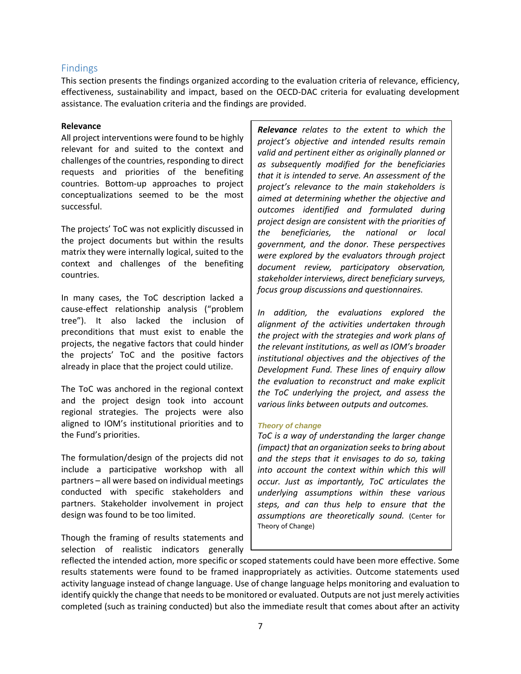## <span id="page-6-0"></span>Findings

This section presents the findings organized according to the evaluation criteria of relevance, efficiency, effectiveness, sustainability and impact, based on the OECD-DAC criteria for evaluating development assistance. The evaluation criteria and the findings are provided.

#### **Relevance**

All project interventions were found to be highly relevant for and suited to the context and challenges of the countries, responding to direct requests and priorities of the benefiting countries. Bottom-up approaches to project conceptualizations seemed to be the most successful.

The projects' ToC was not explicitly discussed in the project documents but within the results matrix they were internally logical, suited to the context and challenges of the benefiting countries.

In many cases, the ToC description lacked a cause-effect relationship analysis ("problem tree"). It also lacked the inclusion of preconditions that must exist to enable the projects, the negative factors that could hinder the projects' ToC and the positive factors already in place that the project could utilize.

The ToC was anchored in the regional context and the project design took into account regional strategies. The projects were also aligned to IOM's institutional priorities and to the Fund's priorities.

The formulation/design of the projects did not include a participative workshop with all partners – all were based on individual meetings conducted with specific stakeholders and partners. Stakeholder involvement in project design was found to be too limited.

Though the framing of results statements and selection of realistic indicators generally

*Relevance relates to the extent to which the project's objective and intended results remain valid and pertinent either as originally planned or as subsequently modified for the beneficiaries that it is intended to serve. An assessment of the project's relevance to the main stakeholders is aimed at determining whether the objective and outcomes identified and formulated during project design are consistent with the priorities of the beneficiaries, the national or local government, and the donor. These perspectives were explored by the evaluators through project document review, participatory observation, stakeholder interviews, direct beneficiary surveys, focus group discussions and questionnaires.*

*In addition, the evaluations explored the alignment of the activities undertaken through the project with the strategies and work plans of the relevant institutions, as well as IOM's broader institutional objectives and the objectives of the Development Fund. These lines of enquiry allow the evaluation to reconstruct and make explicit the ToC underlying the project, and assess the various links between outputs and outcomes.*

#### *Theory of change*

*ToC is a way of understanding the larger change (impact) that an organization seeks to bring about and the steps that it envisages to do so, taking into account the context within which this will occur. Just as importantly, ToC articulates the underlying assumptions within these various steps, and can thus help to ensure that the assumptions are theoretically sound.* (Center for Theory of Change)

reflected the intended action, more specific or scoped statements could have been more effective. Some results statements were found to be framed inappropriately as activities. Outcome statements used activity language instead of change language. Use of change language helps monitoring and evaluation to identify quickly the change that needs to be monitored or evaluated. Outputs are not just merely activities completed (such as training conducted) but also the immediate result that comes about after an activity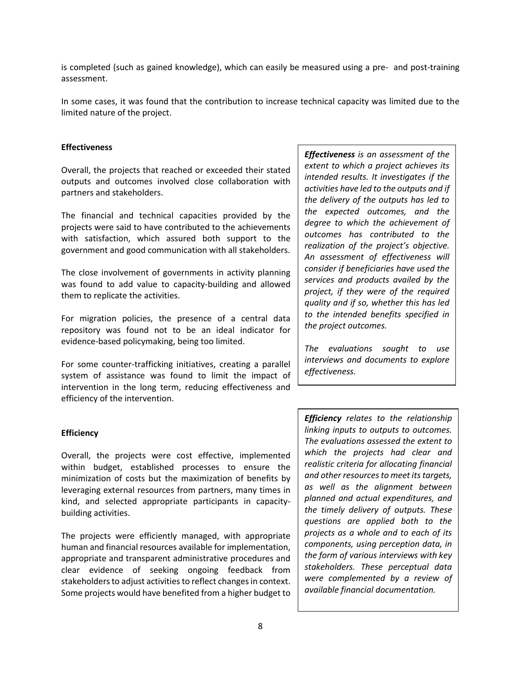is completed (such as gained knowledge), which can easily be measured using a pre- and post-training assessment.

In some cases, it was found that the contribution to increase technical capacity was limited due to the limited nature of the project.

#### **Effectiveness**

Overall, the projects that reached or exceeded their stated outputs and outcomes involved close collaboration with partners and stakeholders.

The financial and technical capacities provided by the projects were said to have contributed to the achievements with satisfaction, which assured both support to the government and good communication with all stakeholders.

The close involvement of governments in activity planning was found to add value to capacity-building and allowed them to replicate the activities.

For migration policies, the presence of a central data repository was found not to be an ideal indicator for evidence-based policymaking, being too limited.

For some counter-trafficking initiatives, creating a parallel system of assistance was found to limit the impact of intervention in the long term, reducing effectiveness and efficiency of the intervention.

#### **Efficiency**

Overall, the projects were cost effective, implemented within budget, established processes to ensure the minimization of costs but the maximization of benefits by leveraging external resources from partners, many times in kind, and selected appropriate participants in capacitybuilding activities.

The projects were efficiently managed, with appropriate human and financial resources available for implementation, appropriate and transparent administrative procedures and clear evidence of seeking ongoing feedback from stakeholders to adjust activities to reflect changes in context. Some projects would have benefited from a higher budget to

*Effectiveness is an assessment of the extent to which a project achieves its intended results. It investigates if the activities have led to the outputs and if the delivery of the outputs has led to the expected outcomes, and the degree to which the achievement of outcomes has contributed to the realization of the project's objective. An assessment of effectiveness will consider if beneficiaries have used the services and products availed by the project, if they were of the required quality and if so, whether this has led to the intended benefits specified in the project outcomes.* 

*The evaluations sought to use interviews and documents to explore effectiveness.*

*Efficiency relates to the relationship linking inputs to outputs to outcomes. The evaluations assessed the extent to which the projects had clear and realistic criteria for allocating financial and other resources to meet its targets, as well as the alignment between planned and actual expenditures, and the timely delivery of outputs. These questions are applied both to the projects as a whole and to each of its components, using perception data, in the form of various interviews with key stakeholders. These perceptual data were complemented by a review of available financial documentation.*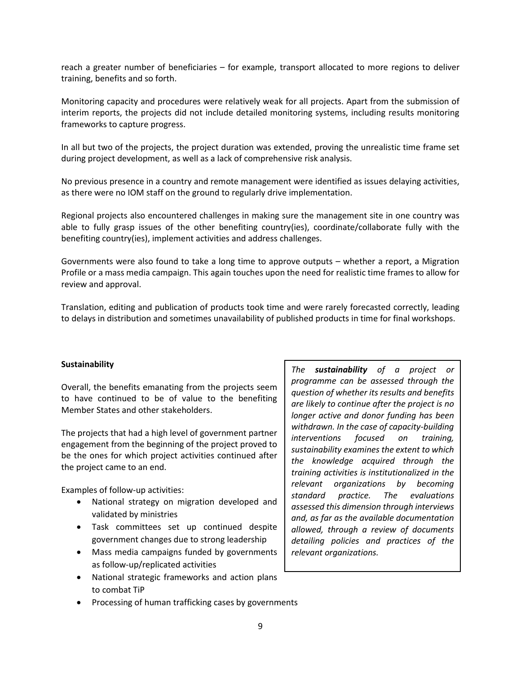reach a greater number of beneficiaries – for example, transport allocated to more regions to deliver training, benefits and so forth.

Monitoring capacity and procedures were relatively weak for all projects. Apart from the submission of interim reports, the projects did not include detailed monitoring systems, including results monitoring frameworks to capture progress.

In all but two of the projects, the project duration was extended, proving the unrealistic time frame set during project development, as well as a lack of comprehensive risk analysis.

No previous presence in a country and remote management were identified as issues delaying activities, as there were no IOM staff on the ground to regularly drive implementation.

Regional projects also encountered challenges in making sure the management site in one country was able to fully grasp issues of the other benefiting country(ies), coordinate/collaborate fully with the benefiting country(ies), implement activities and address challenges.

Governments were also found to take a long time to approve outputs – whether a report, a Migration Profile or a mass media campaign. This again touches upon the need for realistic time frames to allow for review and approval.

Translation, editing and publication of products took time and were rarely forecasted correctly, leading to delays in distribution and sometimes unavailability of published products in time for final workshops.

#### **Sustainability**

Overall, the benefits emanating from the projects seem to have continued to be of value to the benefiting Member States and other stakeholders.

The projects that had a high level of government partner engagement from the beginning of the project proved to be the ones for which project activities continued after the project came to an end.

Examples of follow-up activities:

- National strategy on migration developed and validated by ministries
- Task committees set up continued despite government changes due to strong leadership
- Mass media campaigns funded by governments as follow-up/replicated activities
- National strategic frameworks and action plans to combat TiP
- Processing of human trafficking cases by governments

*The sustainability of a project or programme can be assessed through the question of whether its results and benefits are likely to continue after the project is no longer active and donor funding has been withdrawn. In the case of capacity-building interventions focused on training, sustainability examines the extent to which the knowledge acquired through the training activities is institutionalized in the relevant organizations by becoming standard practice. The evaluations assessed this dimension through interviews and, as far as the available documentation allowed, through a review of documents detailing policies and practices of the relevant organizations.*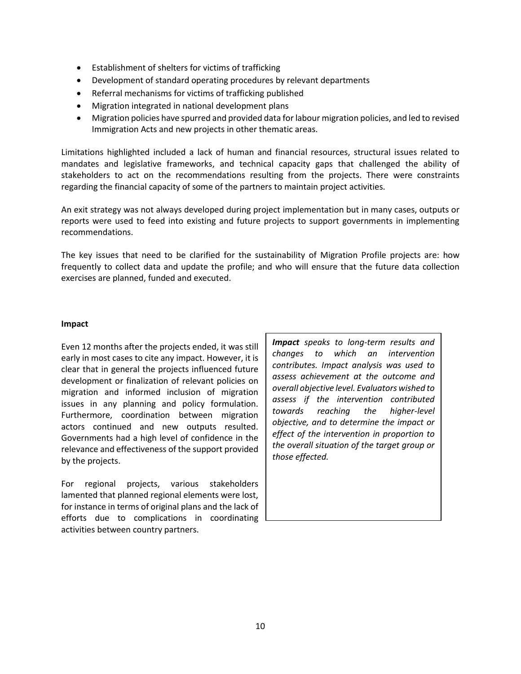- Establishment of shelters for victims of trafficking
- Development of standard operating procedures by relevant departments
- Referral mechanisms for victims of trafficking published
- Migration integrated in national development plans
- Migration policies have spurred and provided data for labour migration policies, and led to revised Immigration Acts and new projects in other thematic areas.

Limitations highlighted included a lack of human and financial resources, structural issues related to mandates and legislative frameworks, and technical capacity gaps that challenged the ability of stakeholders to act on the recommendations resulting from the projects. There were constraints regarding the financial capacity of some of the partners to maintain project activities.

An exit strategy was not always developed during project implementation but in many cases, outputs or reports were used to feed into existing and future projects to support governments in implementing recommendations.

The key issues that need to be clarified for the sustainability of Migration Profile projects are: how frequently to collect data and update the profile; and who will ensure that the future data collection exercises are planned, funded and executed.

#### **Impact**

Even 12 months after the projects ended, it was still early in most cases to cite any impact. However, it is clear that in general the projects influenced future development or finalization of relevant policies on migration and informed inclusion of migration issues in any planning and policy formulation. Furthermore, coordination between migration actors continued and new outputs resulted. Governments had a high level of confidence in the relevance and effectiveness of the support provided by the projects.

For regional projects, various stakeholders lamented that planned regional elements were lost, for instance in terms of original plans and the lack of efforts due to complications in coordinating activities between country partners.

*Impact speaks to long-term results and changes to which an intervention contributes. Impact analysis was used to assess achievement at the outcome and overall objective level. Evaluators wished to assess if the intervention contributed towards reaching the higher-level objective, and to determine the impact or effect of the intervention in proportion to the overall situation of the target group or those effected.*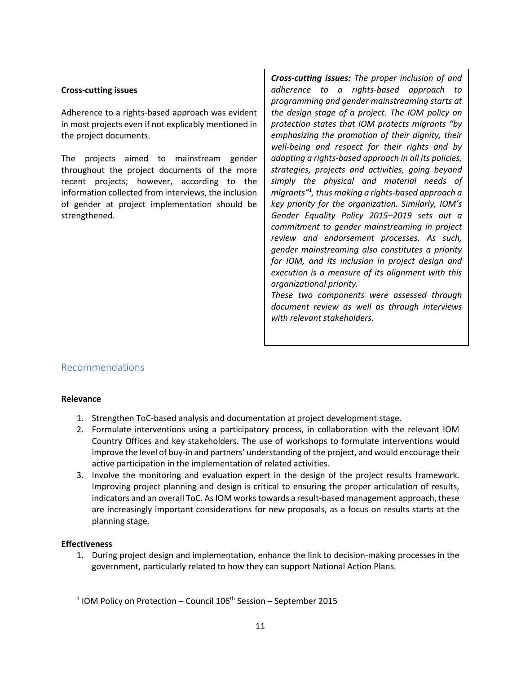#### **Cross-cutting issues**

Adherence to a rights-based approach was evident in most projects even if not explicably mentioned in the project documents.

The projects aimed to mainstream gender throughout the project documents of the more recent projects; however, according to the information collected from interviews, the inclusion of gender at project implementation should be strengthened.

*Cross-cutting issues: The proper inclusion of and adherence to a rights-based approach to programming and gender mainstreaming starts at the design stage of a project. The IOM policy on protection states that IOM protects migrants "by emphasizing the promotion of their dignity, their well-being and respect for their rights and by adopting a rights-based approach in all its policies, strategies, projects and activities, going beyond simply the physical and material needs of migrants" 1 , thus making a rights-based approach a key priority for the organization. Similarly, IOM's Gender Equality Policy 2015–2019 sets out a commitment to gender mainstreaming in project review and endorsement processes. As such, gender mainstreaming also constitutes a priority for IOM, and its inclusion in project design and execution is a measure of its alignment with this organizational priority.* 

*These two components were assessed through document review as well as through interviews with relevant stakeholders.*

## <span id="page-10-0"></span>Recommendations

#### **Relevance**

- 1. Strengthen ToC-based analysis and documentation at project development stage.
- 2. Formulate interventions using a participatory process, in collaboration with the relevant IOM Country Offices and key stakeholders. The use of workshops to formulate interventions would improve the level of buy-in and partners' understanding of the project, and would encourage their active participation in the implementation of related activities.
- 3. Involve the monitoring and evaluation expert in the design of the project results framework. Improving project planning and design is critical to ensuring the proper articulation of results, indicators and an overall ToC. As IOM works towards a result-based management approach, these are increasingly important considerations for new proposals, as a focus on results starts at the planning stage.

#### **Effectiveness**

1. During project design and implementation, enhance the link to decision-making processes in the government, particularly related to how they can support National Action Plans.

 $1$  IOM Policy on Protection – Council 106<sup>th</sup> Session – September 2015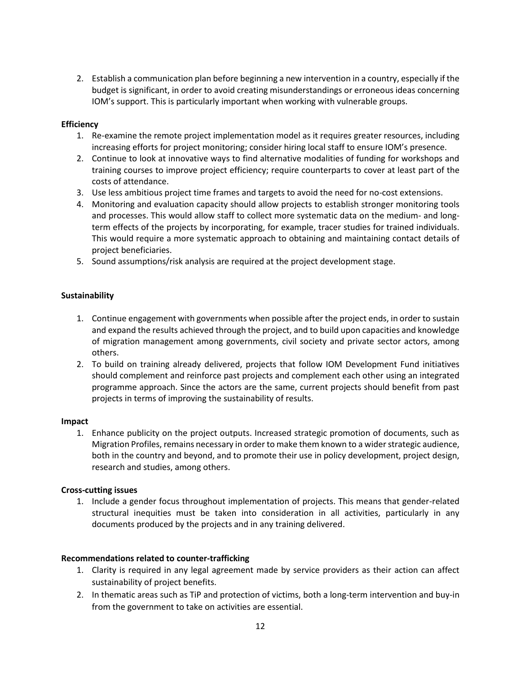2. Establish a communication plan before beginning a new intervention in a country, especially if the budget is significant, in order to avoid creating misunderstandings or erroneous ideas concerning IOM's support. This is particularly important when working with vulnerable groups.

## **Efficiency**

- 1. Re-examine the remote project implementation model as it requires greater resources, including increasing efforts for project monitoring; consider hiring local staff to ensure IOM's presence.
- 2. Continue to look at innovative ways to find alternative modalities of funding for workshops and training courses to improve project efficiency; require counterparts to cover at least part of the costs of attendance.
- 3. Use less ambitious project time frames and targets to avoid the need for no-cost extensions.
- 4. Monitoring and evaluation capacity should allow projects to establish stronger monitoring tools and processes. This would allow staff to collect more systematic data on the medium- and longterm effects of the projects by incorporating, for example, tracer studies for trained individuals. This would require a more systematic approach to obtaining and maintaining contact details of project beneficiaries.
- 5. Sound assumptions/risk analysis are required at the project development stage.

## **Sustainability**

- 1. Continue engagement with governments when possible after the project ends, in order to sustain and expand the results achieved through the project, and to build upon capacities and knowledge of migration management among governments, civil society and private sector actors, among others.
- 2. To build on training already delivered, projects that follow IOM Development Fund initiatives should complement and reinforce past projects and complement each other using an integrated programme approach. Since the actors are the same, current projects should benefit from past projects in terms of improving the sustainability of results.

#### **Impact**

1. Enhance publicity on the project outputs. Increased strategic promotion of documents, such as Migration Profiles, remains necessary in order to make them known to a wider strategic audience, both in the country and beyond, and to promote their use in policy development, project design, research and studies, among others.

#### **Cross-cutting issues**

1. Include a gender focus throughout implementation of projects. This means that gender-related structural inequities must be taken into consideration in all activities, particularly in any documents produced by the projects and in any training delivered.

#### **Recommendations related to counter-trafficking**

- 1. Clarity is required in any legal agreement made by service providers as their action can affect sustainability of project benefits.
- 2. In thematic areas such as TiP and protection of victims, both a long-term intervention and buy-in from the government to take on activities are essential.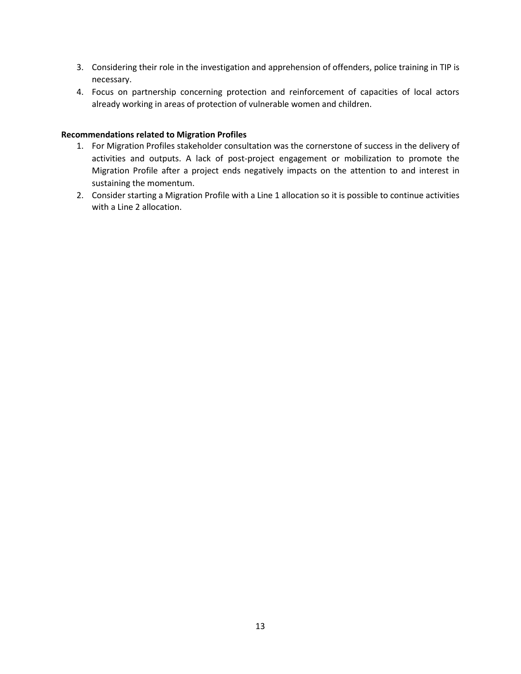- 3. Considering their role in the investigation and apprehension of offenders, police training in TIP is necessary.
- 4. Focus on partnership concerning protection and reinforcement of capacities of local actors already working in areas of protection of vulnerable women and children.

#### **Recommendations related to Migration Profiles**

- 1. For Migration Profiles stakeholder consultation was the cornerstone of success in the delivery of activities and outputs. A lack of post-project engagement or mobilization to promote the Migration Profile after a project ends negatively impacts on the attention to and interest in sustaining the momentum.
- 2. Consider starting a Migration Profile with a Line 1 allocation so it is possible to continue activities with a Line 2 allocation.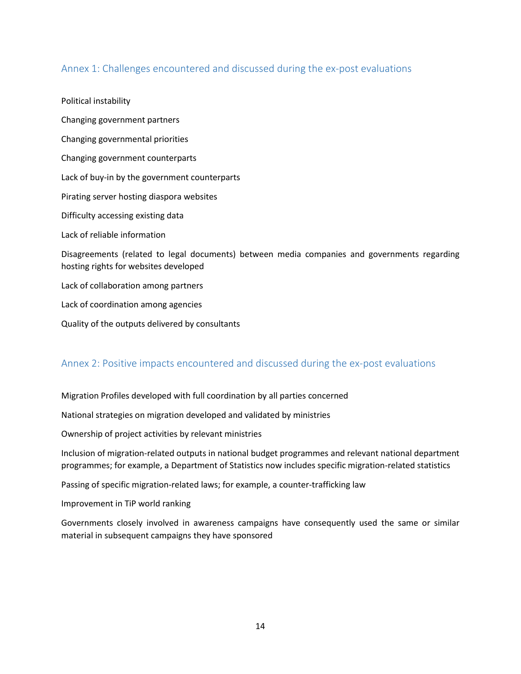## <span id="page-13-0"></span>Annex 1: Challenges encountered and discussed during the ex-post evaluations

Political instability Changing government partners Changing governmental priorities Changing government counterparts Lack of buy-in by the government counterparts Pirating server hosting diaspora websites Difficulty accessing existing data Lack of reliable information Disagreements (related to legal documents) between media companies and governments regarding hosting rights for websites developed Lack of collaboration among partners Lack of coordination among agencies Quality of the outputs delivered by consultants

## <span id="page-13-1"></span>Annex 2: Positive impacts encountered and discussed during the ex-post evaluations

Migration Profiles developed with full coordination by all parties concerned

National strategies on migration developed and validated by ministries

Ownership of project activities by relevant ministries

Inclusion of migration-related outputs in national budget programmes and relevant national department programmes; for example, a Department of Statistics now includes specific migration-related statistics

Passing of specific migration-related laws; for example, a counter-trafficking law

Improvement in TiP world ranking

Governments closely involved in awareness campaigns have consequently used the same or similar material in subsequent campaigns they have sponsored